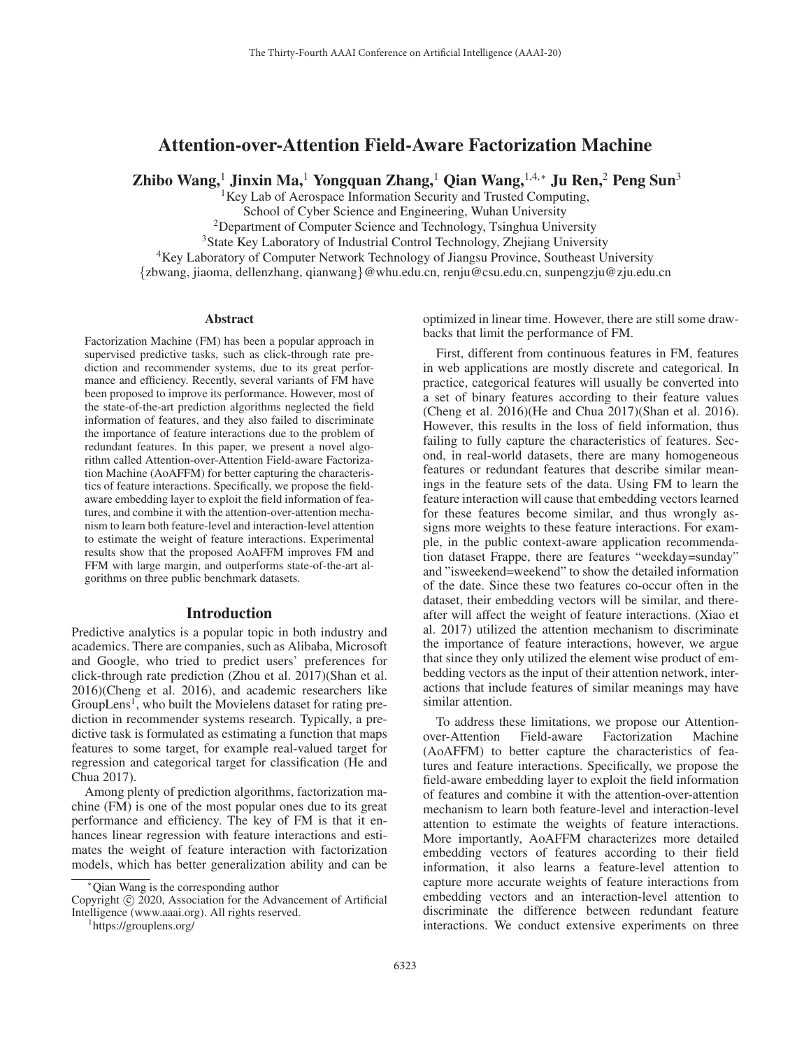# Attention-over-Attention Field-Aware Factorization Machine

Zhibo Wang,<sup>1</sup> Jinxin Ma,<sup>1</sup> Yongquan Zhang,<sup>1</sup> Qian Wang,<sup>1,4,∗</sup> Ju Ren,<sup>2</sup> Peng Sun<sup>3</sup>

<sup>1</sup>Key Lab of Aerospace Information Security and Trusted Computing,

School of Cyber Science and Engineering, Wuhan University

 $2$ Department of Computer Science and Technology, Tsinghua University

<sup>3</sup>State Key Laboratory of Industrial Control Technology, Zhejiang University

<sup>4</sup>Key Laboratory of Computer Network Technology of Jiangsu Province, Southeast University

{zbwang, jiaoma, dellenzhang, qianwang}@whu.edu.cn, renju@csu.edu.cn, sunpengzju@zju.edu.cn

#### Abstract

Factorization Machine (FM) has been a popular approach in supervised predictive tasks, such as click-through rate prediction and recommender systems, due to its great performance and efficiency. Recently, several variants of FM have been proposed to improve its performance. However, most of the state-of-the-art prediction algorithms neglected the field information of features, and they also failed to discriminate the importance of feature interactions due to the problem of redundant features. In this paper, we present a novel algorithm called Attention-over-Attention Field-aware Factorization Machine (AoAFFM) for better capturing the characteristics of feature interactions. Specifically, we propose the fieldaware embedding layer to exploit the field information of features, and combine it with the attention-over-attention mechanism to learn both feature-level and interaction-level attention to estimate the weight of feature interactions. Experimental results show that the proposed AoAFFM improves FM and FFM with large margin, and outperforms state-of-the-art algorithms on three public benchmark datasets.

## Introduction

Predictive analytics is a popular topic in both industry and academics. There are companies, such as Alibaba, Microsoft and Google, who tried to predict users' preferences for click-through rate prediction (Zhou et al. 2017)(Shan et al. 2016)(Cheng et al. 2016), and academic researchers like  $GroupLens<sup>1</sup>$ , who built the Movielens dataset for rating prediction in recommender systems research. Typically, a predictive task is formulated as estimating a function that maps features to some target, for example real-valued target for regression and categorical target for classification (He and Chua 2017).

Among plenty of prediction algorithms, factorization machine (FM) is one of the most popular ones due to its great performance and efficiency. The key of FM is that it enhances linear regression with feature interactions and estimates the weight of feature interaction with factorization models, which has better generalization ability and can be

optimized in linear time. However, there are still some drawbacks that limit the performance of FM.

First, different from continuous features in FM, features in web applications are mostly discrete and categorical. In practice, categorical features will usually be converted into a set of binary features according to their feature values (Cheng et al. 2016)(He and Chua 2017)(Shan et al. 2016). However, this results in the loss of field information, thus failing to fully capture the characteristics of features. Second, in real-world datasets, there are many homogeneous features or redundant features that describe similar meanings in the feature sets of the data. Using FM to learn the feature interaction will cause that embedding vectors learned for these features become similar, and thus wrongly assigns more weights to these feature interactions. For example, in the public context-aware application recommendation dataset Frappe, there are features "weekday=sunday" and "isweekend=weekend" to show the detailed information of the date. Since these two features co-occur often in the dataset, their embedding vectors will be similar, and thereafter will affect the weight of feature interactions. (Xiao et al. 2017) utilized the attention mechanism to discriminate the importance of feature interactions, however, we argue that since they only utilized the element wise product of embedding vectors as the input of their attention network, interactions that include features of similar meanings may have similar attention.

To address these limitations, we propose our Attentionover-Attention Field-aware Factorization Machine (AoAFFM) to better capture the characteristics of features and feature interactions. Specifically, we propose the field-aware embedding layer to exploit the field information of features and combine it with the attention-over-attention mechanism to learn both feature-level and interaction-level attention to estimate the weights of feature interactions. More importantly, AoAFFM characterizes more detailed embedding vectors of features according to their field information, it also learns a feature-level attention to capture more accurate weights of feature interactions from embedding vectors and an interaction-level attention to discriminate the difference between redundant feature interactions. We conduct extensive experiments on three

<sup>∗</sup>Qian Wang is the corresponding author

Copyright  $\odot$  2020, Association for the Advancement of Artificial Intelligence (www.aaai.org). All rights reserved. <sup>1</sup>

https://grouplens.org/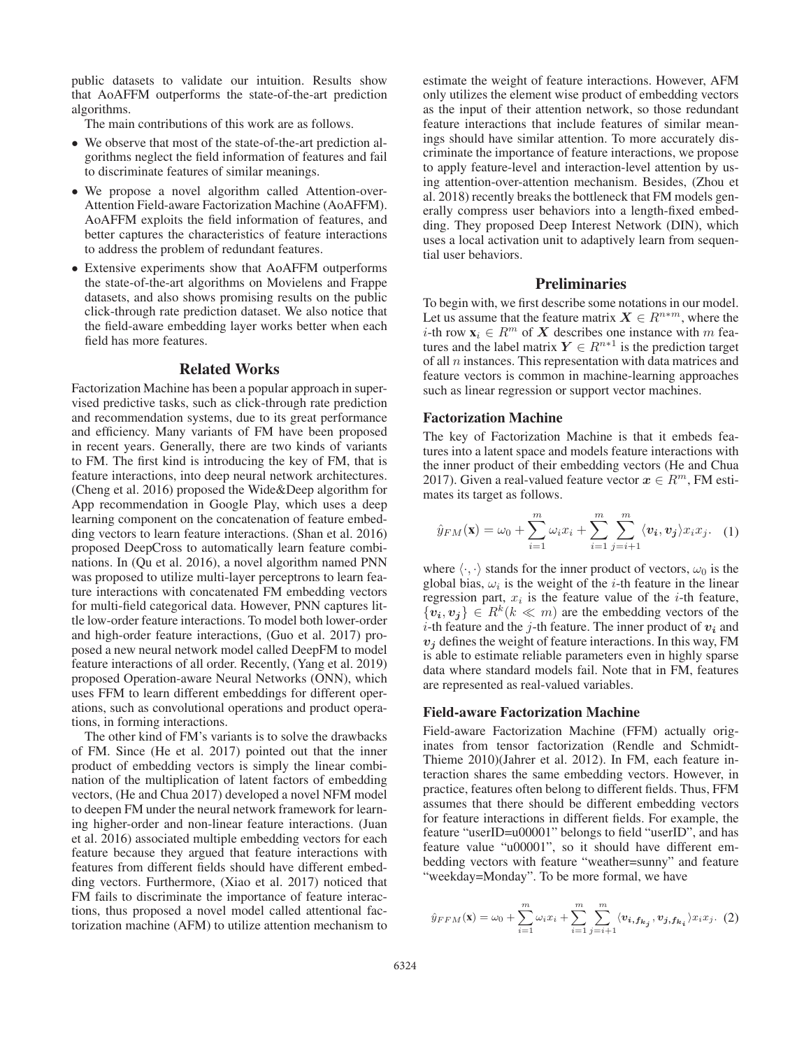public datasets to validate our intuition. Results show that AoAFFM outperforms the state-of-the-art prediction algorithms.

The main contributions of this work are as follows.

- We observe that most of the state-of-the-art prediction algorithms neglect the field information of features and fail to discriminate features of similar meanings.
- We propose a novel algorithm called Attention-over-Attention Field-aware Factorization Machine (AoAFFM). AoAFFM exploits the field information of features, and better captures the characteristics of feature interactions to address the problem of redundant features.
- Extensive experiments show that AoAFFM outperforms the state-of-the-art algorithms on Movielens and Frappe datasets, and also shows promising results on the public click-through rate prediction dataset. We also notice that the field-aware embedding layer works better when each field has more features.

## Related Works

Factorization Machine has been a popular approach in supervised predictive tasks, such as click-through rate prediction and recommendation systems, due to its great performance and efficiency. Many variants of FM have been proposed in recent years. Generally, there are two kinds of variants to FM. The first kind is introducing the key of FM, that is feature interactions, into deep neural network architectures. (Cheng et al. 2016) proposed the Wide&Deep algorithm for App recommendation in Google Play, which uses a deep learning component on the concatenation of feature embedding vectors to learn feature interactions. (Shan et al. 2016) proposed DeepCross to automatically learn feature combinations. In (Qu et al. 2016), a novel algorithm named PNN was proposed to utilize multi-layer perceptrons to learn feature interactions with concatenated FM embedding vectors for multi-field categorical data. However, PNN captures little low-order feature interactions. To model both lower-order and high-order feature interactions, (Guo et al. 2017) proposed a new neural network model called DeepFM to model feature interactions of all order. Recently, (Yang et al. 2019) proposed Operation-aware Neural Networks (ONN), which uses FFM to learn different embeddings for different operations, such as convolutional operations and product operations, in forming interactions.

The other kind of FM's variants is to solve the drawbacks of FM. Since (He et al. 2017) pointed out that the inner product of embedding vectors is simply the linear combination of the multiplication of latent factors of embedding vectors, (He and Chua 2017) developed a novel NFM model to deepen FM under the neural network framework for learning higher-order and non-linear feature interactions. (Juan et al. 2016) associated multiple embedding vectors for each feature because they argued that feature interactions with features from different fields should have different embedding vectors. Furthermore, (Xiao et al. 2017) noticed that FM fails to discriminate the importance of feature interactions, thus proposed a novel model called attentional factorization machine (AFM) to utilize attention mechanism to

estimate the weight of feature interactions. However, AFM only utilizes the element wise product of embedding vectors as the input of their attention network, so those redundant feature interactions that include features of similar meanings should have similar attention. To more accurately discriminate the importance of feature interactions, we propose to apply feature-level and interaction-level attention by using attention-over-attention mechanism. Besides, (Zhou et al. 2018) recently breaks the bottleneck that FM models generally compress user behaviors into a length-fixed embedding. They proposed Deep Interest Network (DIN), which uses a local activation unit to adaptively learn from sequential user behaviors.

# Preliminaries

To begin with, we first describe some notations in our model. Let us assume that the feature matrix  $X \in \mathbb{R}^{n*m}$ , where the *i*-th row  $\mathbf{x}_i \in \mathbb{R}^m$  of X describes one instance with m features and the label matrix  $Y \in R^{n*1}$  is the prediction target of all  $n$  instances. This representation with data matrices and feature vectors is common in machine-learning approaches such as linear regression or support vector machines.

### Factorization Machine

The key of Factorization Machine is that it embeds features into a latent space and models feature interactions with the inner product of their embedding vectors (He and Chua 2017). Given a real-valued feature vector  $x \in R^m$ , FM estimates its target as follows.

$$
\hat{y}_{FM}(\mathbf{x}) = \omega_0 + \sum_{i=1}^{m} \omega_i x_i + \sum_{i=1}^{m} \sum_{j=i+1}^{m} \langle v_i, v_j \rangle x_i x_j.
$$
 (1)

where  $\langle \cdot, \cdot \rangle$  stands for the inner product of vectors,  $\omega_0$  is the global bias,  $\omega_i$  is the weight of the *i*-th feature in the linear regression part,  $x_i$  is the feature value of the *i*-th feature,  $\{v_i, v_j\} \in R^k (k \ll m)$  are the embedding vectors of the *i*-th feature and the *j*-th feature. The inner product of  $v_i$  and  $v_j$  defines the weight of feature interactions. In this way, FM is able to estimate reliable parameters even in highly sparse data where standard models fail. Note that in FM, features are represented as real-valued variables.

## Field-aware Factorization Machine

Field-aware Factorization Machine (FFM) actually originates from tensor factorization (Rendle and Schmidt-Thieme 2010)(Jahrer et al. 2012). In FM, each feature interaction shares the same embedding vectors. However, in practice, features often belong to different fields. Thus, FFM assumes that there should be different embedding vectors for feature interactions in different fields. For example, the feature "userID=u00001" belongs to field "userID", and has feature value "u00001", so it should have different embedding vectors with feature "weather=sunny" and feature "weekday=Monday". To be more formal, we have

$$
\hat{y}_{FFM}(\mathbf{x}) = \omega_0 + \sum_{i=1}^{m} \omega_i x_i + \sum_{i=1}^{m} \sum_{j=i+1}^{m} \langle v_{i, f_{k_j}}, v_{j, f_{k_i}} \rangle x_i x_j.
$$
 (2)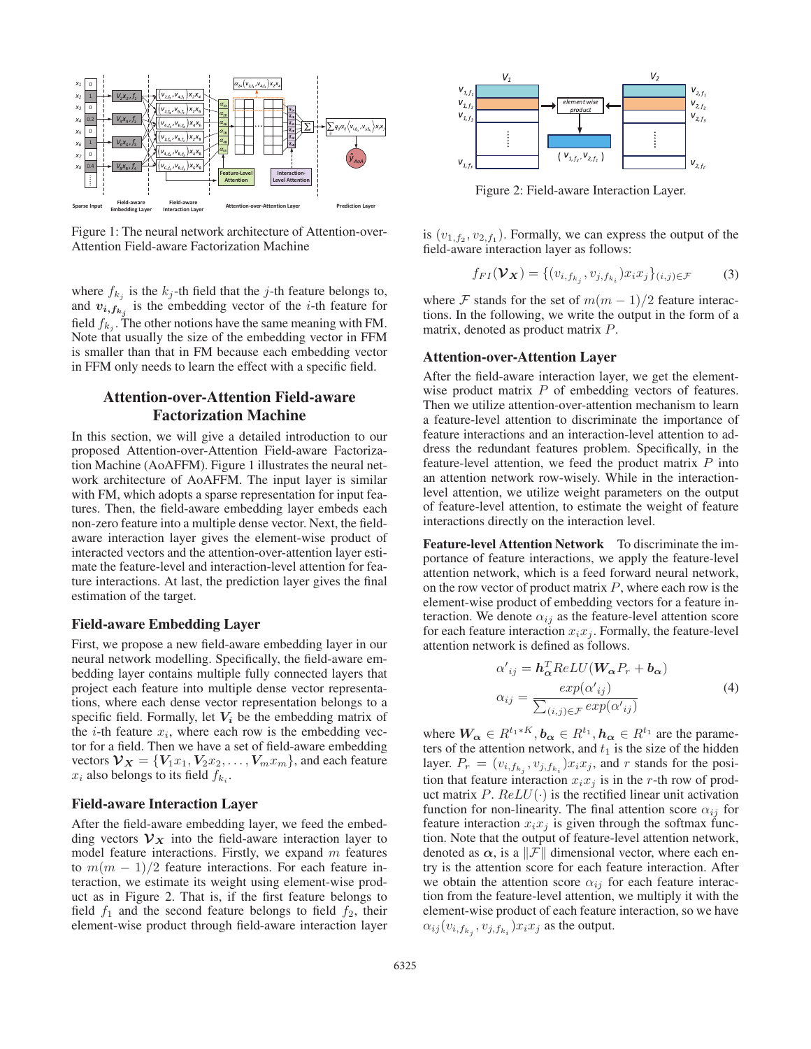

Figure 1: The neural network architecture of Attention-over-Attention Field-aware Factorization Machine

where  $f_{k_i}$  is the  $k_j$ -th field that the j-th feature belongs to, and  $v_{i, f_{k_j}}$  is the embedding vector of the *i*-th feature for field  $f_{k_i}$ . The other notions have the same meaning with FM. Note that usually the size of the embedding vector in FFM is smaller than that in FM because each embedding vector in FFM only needs to learn the effect with a specific field.

# Attention-over-Attention Field-aware Factorization Machine

In this section, we will give a detailed introduction to our proposed Attention-over-Attention Field-aware Factorization Machine (AoAFFM). Figure 1 illustrates the neural network architecture of AoAFFM. The input layer is similar with FM, which adopts a sparse representation for input features. Then, the field-aware embedding layer embeds each non-zero feature into a multiple dense vector. Next, the fieldaware interaction layer gives the element-wise product of interacted vectors and the attention-over-attention layer estimate the feature-level and interaction-level attention for feature interactions. At last, the prediction layer gives the final estimation of the target.

## Field-aware Embedding Layer

First, we propose a new field-aware embedding layer in our neural network modelling. Specifically, the field-aware embedding layer contains multiple fully connected layers that project each feature into multiple dense vector representations, where each dense vector representation belongs to a specific field. Formally, let  $V_i$  be the embedding matrix of the *i*-th feature  $x_i$ , where each row is the embedding vector for a field. Then we have a set of field-aware embedding vectors  $V_X = \{V_1x_1, V_2x_2, \ldots, V_mx_m\}$ , and each feature  $x_i$  also belongs to its field  $f_{k_i}$ .

#### Field-aware Interaction Layer

After the field-aware embedding layer, we feed the embedding vectors  $V_X$  into the field-aware interaction layer to model feature interactions. Firstly, we expand  $m$  features to  $m(m - 1)/2$  feature interactions. For each feature interaction, we estimate its weight using element-wise product as in Figure 2. That is, if the first feature belongs to field  $f_1$  and the second feature belongs to field  $f_2$ , their element-wise product through field-aware interaction layer



Figure 2: Field-aware Interaction Layer.

is  $(v_{1,f_2}, v_{2,f_1})$ . Formally, we can express the output of the field-aware interaction layer as follows:

$$
f_{FI}(\mathbf{\mathcal{V}_{X}}) = \{ (v_{i,f_{k_j}}, v_{j,f_{k_i}}) x_i x_j \}_{(i,j) \in \mathcal{F}} \tag{3}
$$

where F stands for the set of  $m(m-1)/2$  feature interactions. In the following, we write the output in the form of a matrix, denoted as product matrix P.

## Attention-over-Attention Layer

After the field-aware interaction layer, we get the elementwise product matrix  $P$  of embedding vectors of features. Then we utilize attention-over-attention mechanism to learn a feature-level attention to discriminate the importance of feature interactions and an interaction-level attention to address the redundant features problem. Specifically, in the feature-level attention, we feed the product matrix  $P$  into an attention network row-wisely. While in the interactionlevel attention, we utilize weight parameters on the output of feature-level attention, to estimate the weight of feature interactions directly on the interaction level.

Feature-level Attention Network To discriminate the importance of feature interactions, we apply the feature-level attention network, which is a feed forward neural network, on the row vector of product matrix  $P$ , where each row is the element-wise product of embedding vectors for a feature interaction. We denote  $\alpha_{ij}$  as the feature-level attention score for each feature interaction  $x_ix_j$ . Formally, the feature-level attention network is defined as follows.

$$
\alpha'_{ij} = \mathbf{h}_{\alpha}^T ReLU(\mathbf{W}_{\alpha} P_r + \mathbf{b}_{\alpha})
$$

$$
\alpha_{ij} = \frac{exp(\alpha'_{ij})}{\sum_{(i,j)\in\mathcal{F}} exp(\alpha'_{ij})}
$$
(4)

where  $W_{\alpha} \in R^{t_1*K}, b_{\alpha} \in R^{t_1}, h_{\alpha} \in R^{t_1}$  are the parameters of the attention network, and  $t_1$  is the size of the hidden layer.  $P_r = (v_{i, f_{k_j}}, v_{j, f_{k_i}}) x_i x_j$ , and r stands for the position that feature interaction  $x_ix_j$  is in the r-th row of product matrix  $P.$   $ReLU(·)$  is the rectified linear unit activation function for non-linearity. The final attention score  $\alpha_{ij}$  for feature interaction  $x_i x_j$  is given through the softmax function. Note that the output of feature-level attention network, denoted as  $\alpha$ , is a  $\|\mathcal{F}\|$  dimensional vector, where each entry is the attention score for each feature interaction. After we obtain the attention score  $\alpha_{ij}$  for each feature interaction from the feature-level attention, we multiply it with the element-wise product of each feature interaction, so we have  $\alpha_{ij}(v_{i,f_{k_j}}, v_{j,f_{k_i}}) x_i x_j$  as the output.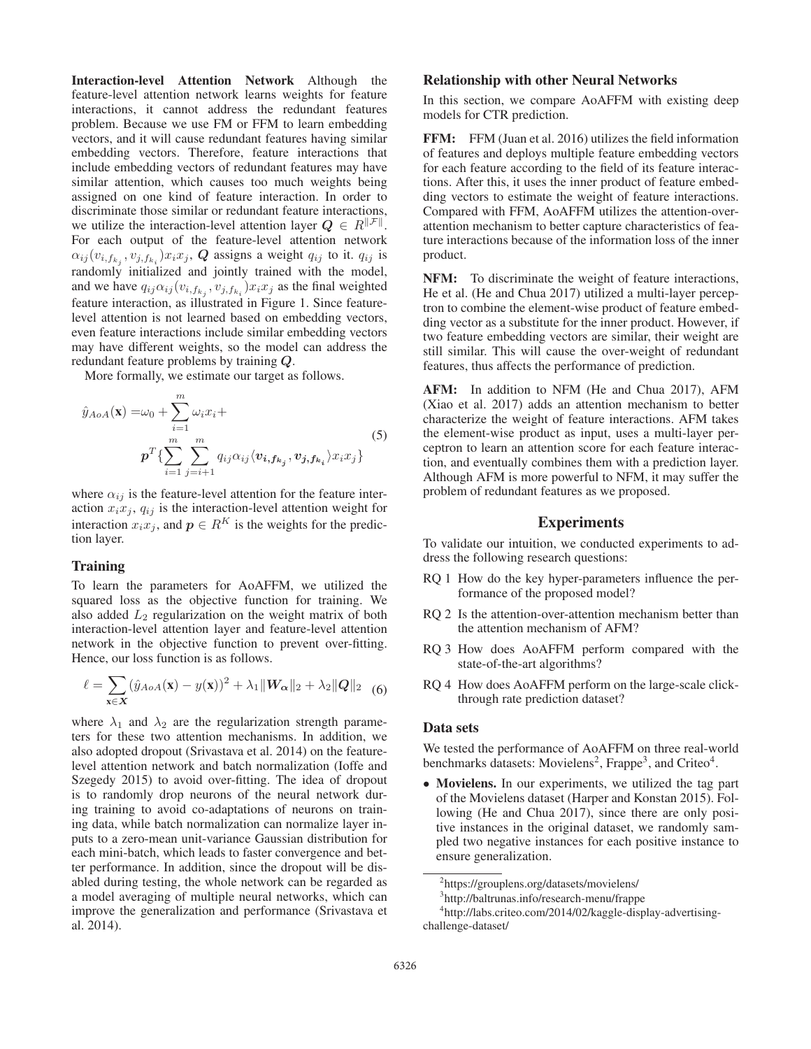Interaction-level Attention Network Although the feature-level attention network learns weights for feature interactions, it cannot address the redundant features problem. Because we use FM or FFM to learn embedding vectors, and it will cause redundant features having similar embedding vectors. Therefore, feature interactions that include embedding vectors of redundant features may have similar attention, which causes too much weights being assigned on one kind of feature interaction. In order to discriminate those similar or redundant feature interactions, we utilize the interaction-level attention layer  $Q \in R^{\|\mathcal{F}\|}$ . For each output of the feature-level attention network  $\alpha_{ij}(v_{i,f_{k_j}}, v_{j,f_{k_i}})x_ix_j$ , *Q* assigns a weight  $q_{ij}$  to it.  $q_{ij}$  is randomly initialized and jointly trained with the model, and we have  $q_{ij}\alpha_{ij}(v_{i,f_{k_j}}, v_{j,f_{k_i}})x_ix_j$  as the final weighted feature interaction, as illustrated in Figure 1. Since featurelevel attention is not learned based on embedding vectors, even feature interactions include similar embedding vectors may have different weights, so the model can address the redundant feature problems by training *Q*.

More formally, we estimate our target as follows.

$$
\hat{y}_{AoA}(\mathbf{x}) = \omega_0 + \sum_{i=1}^m \omega_i x_i +
$$
\n
$$
\mathbf{p}^T \{ \sum_{i=1}^m \sum_{j=i+1}^m q_{ij} \alpha_{ij} \langle \mathbf{v}_{i, f_{k_j}}, \mathbf{v}_{j, f_{k_i}} \rangle x_i x_j \}
$$
\n(5)

where  $\alpha_{ij}$  is the feature-level attention for the feature interaction  $x_i x_j$ ,  $q_{ij}$  is the interaction-level attention weight for interaction  $x_i x_j$ , and  $p \in R^K$  is the weights for the prediction layer.

## **Training**

To learn the parameters for AoAFFM, we utilized the squared loss as the objective function for training. We also added  $L_2$  regularization on the weight matrix of both interaction-level attention layer and feature-level attention network in the objective function to prevent over-fitting. Hence, our loss function is as follows.

$$
\ell = \sum_{\mathbf{x} \in \mathbf{X}} (\hat{y}_{AoA}(\mathbf{x}) - y(\mathbf{x}))^2 + \lambda_1 \|W_{\alpha}\|_2 + \lambda_2 \|Q\|_2 \tag{6}
$$

where  $\lambda_1$  and  $\lambda_2$  are the regularization strength parameters for these two attention mechanisms. In addition, we also adopted dropout (Srivastava et al. 2014) on the featurelevel attention network and batch normalization (Ioffe and Szegedy 2015) to avoid over-fitting. The idea of dropout is to randomly drop neurons of the neural network during training to avoid co-adaptations of neurons on training data, while batch normalization can normalize layer inputs to a zero-mean unit-variance Gaussian distribution for each mini-batch, which leads to faster convergence and better performance. In addition, since the dropout will be disabled during testing, the whole network can be regarded as a model averaging of multiple neural networks, which can improve the generalization and performance (Srivastava et al. 2014).

## Relationship with other Neural Networks

In this section, we compare AoAFFM with existing deep models for CTR prediction.

FFM: FFM (Juan et al. 2016) utilizes the field information of features and deploys multiple feature embedding vectors for each feature according to the field of its feature interactions. After this, it uses the inner product of feature embedding vectors to estimate the weight of feature interactions. Compared with FFM, AoAFFM utilizes the attention-overattention mechanism to better capture characteristics of feature interactions because of the information loss of the inner product.

NFM: To discriminate the weight of feature interactions, He et al. (He and Chua 2017) utilized a multi-layer perceptron to combine the element-wise product of feature embedding vector as a substitute for the inner product. However, if two feature embedding vectors are similar, their weight are still similar. This will cause the over-weight of redundant features, thus affects the performance of prediction.

AFM: In addition to NFM (He and Chua 2017), AFM (Xiao et al. 2017) adds an attention mechanism to better characterize the weight of feature interactions. AFM takes the element-wise product as input, uses a multi-layer perceptron to learn an attention score for each feature interaction, and eventually combines them with a prediction layer. Although AFM is more powerful to NFM, it may suffer the problem of redundant features as we proposed.

## Experiments

To validate our intuition, we conducted experiments to address the following research questions:

- RQ 1 How do the key hyper-parameters influence the performance of the proposed model?
- RQ 2 Is the attention-over-attention mechanism better than the attention mechanism of AFM?
- RQ 3 How does AoAFFM perform compared with the state-of-the-art algorithms?
- RQ 4 How does AoAFFM perform on the large-scale clickthrough rate prediction dataset?

## Data sets

We tested the performance of AoAFFM on three real-world benchmarks datasets: Movielens<sup>2</sup>, Frappe<sup>3</sup>, and Criteo<sup>4</sup>.

• Movielens. In our experiments, we utilized the tag part of the Movielens dataset (Harper and Konstan 2015). Following (He and Chua 2017), since there are only positive instances in the original dataset, we randomly sampled two negative instances for each positive instance to ensure generalization.

<sup>2</sup> https://grouplens.org/datasets/movielens/

<sup>3</sup> http://baltrunas.info/research-menu/frappe

<sup>4</sup> http://labs.criteo.com/2014/02/kaggle-display-advertisingchallenge-dataset/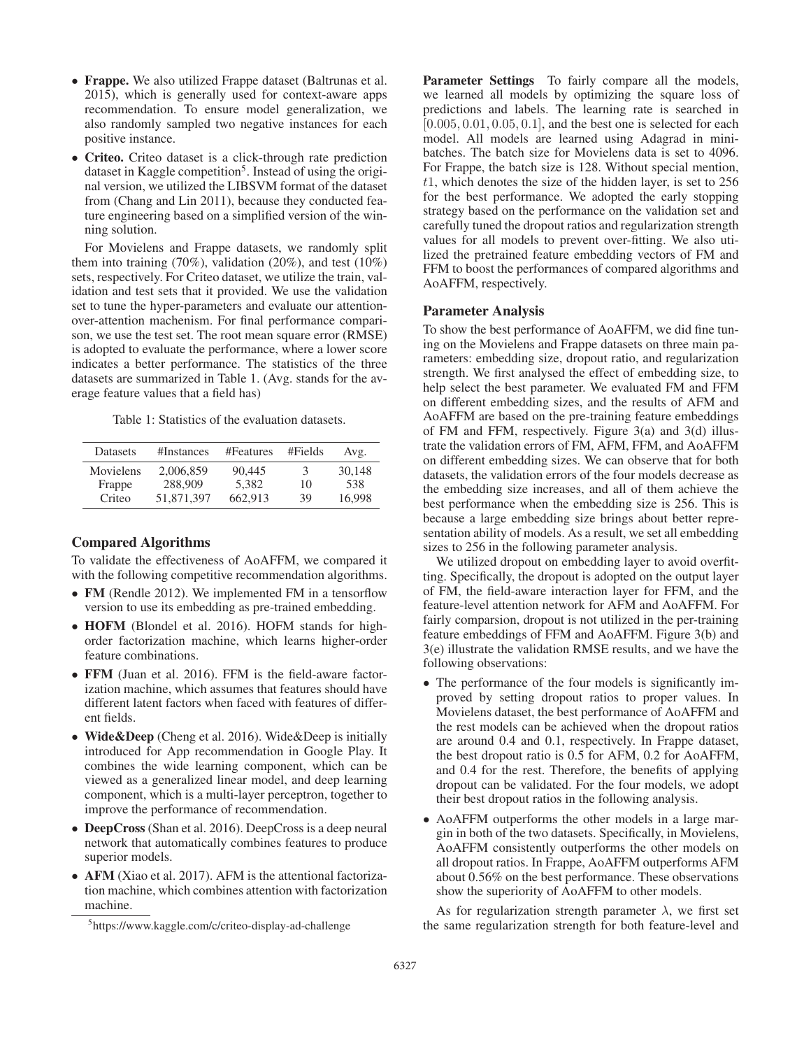- Frappe. We also utilized Frappe dataset (Baltrunas et al. 2015), which is generally used for context-aware apps recommendation. To ensure model generalization, we also randomly sampled two negative instances for each positive instance.
- Criteo. Criteo dataset is a click-through rate prediction dataset in Kaggle competition<sup>5</sup>. Instead of using the original version, we utilized the LIBSVM format of the dataset from (Chang and Lin 2011), because they conducted feature engineering based on a simplified version of the winning solution.

For Movielens and Frappe datasets, we randomly split them into training  $(70\%)$ , validation  $(20\%)$ , and test  $(10\%)$ sets, respectively. For Criteo dataset, we utilize the train, validation and test sets that it provided. We use the validation set to tune the hyper-parameters and evaluate our attentionover-attention machenism. For final performance comparison, we use the test set. The root mean square error (RMSE) is adopted to evaluate the performance, where a lower score indicates a better performance. The statistics of the three datasets are summarized in Table 1. (Avg. stands for the average feature values that a field has)

Table 1: Statistics of the evaluation datasets.

| Datasets  | #Instances | #Features | #Fields | Avg.   |
|-----------|------------|-----------|---------|--------|
| Movielens | 2,006,859  | 90.445    | 3       | 30.148 |
| Frappe    | 288,909    | 5.382     | 10      | 538    |
| Criteo    | 51.871.397 | 662.913   | 39      | 16.998 |

## Compared Algorithms

To validate the effectiveness of AoAFFM, we compared it with the following competitive recommendation algorithms.

- FM (Rendle 2012). We implemented FM in a tensorflow version to use its embedding as pre-trained embedding.
- HOFM (Blondel et al. 2016). HOFM stands for highorder factorization machine, which learns higher-order feature combinations.
- FFM (Juan et al. 2016). FFM is the field-aware factorization machine, which assumes that features should have different latent factors when faced with features of different fields.
- Wide&Deep (Cheng et al. 2016). Wide&Deep is initially introduced for App recommendation in Google Play. It combines the wide learning component, which can be viewed as a generalized linear model, and deep learning component, which is a multi-layer perceptron, together to improve the performance of recommendation.
- DeepCross (Shan et al. 2016). DeepCross is a deep neural network that automatically combines features to produce superior models.
- AFM (Xiao et al. 2017). AFM is the attentional factorization machine, which combines attention with factorization machine.

Parameter Settings To fairly compare all the models, we learned all models by optimizing the square loss of predictions and labels. The learning rate is searched in  $[0.005, 0.01, 0.05, 0.1]$ , and the best one is selected for each model. All models are learned using Adagrad in minibatches. The batch size for Movielens data is set to 4096. For Frappe, the batch size is 128. Without special mention,  $t1$ , which denotes the size of the hidden layer, is set to  $256$ for the best performance. We adopted the early stopping strategy based on the performance on the validation set and carefully tuned the dropout ratios and regularization strength values for all models to prevent over-fitting. We also utilized the pretrained feature embedding vectors of FM and FFM to boost the performances of compared algorithms and AoAFFM, respectively.

## Parameter Analysis

To show the best performance of AoAFFM, we did fine tuning on the Movielens and Frappe datasets on three main parameters: embedding size, dropout ratio, and regularization strength. We first analysed the effect of embedding size, to help select the best parameter. We evaluated FM and FFM on different embedding sizes, and the results of AFM and AoAFFM are based on the pre-training feature embeddings of FM and FFM, respectively. Figure 3(a) and 3(d) illustrate the validation errors of FM, AFM, FFM, and AoAFFM on different embedding sizes. We can observe that for both datasets, the validation errors of the four models decrease as the embedding size increases, and all of them achieve the best performance when the embedding size is 256. This is because a large embedding size brings about better representation ability of models. As a result, we set all embedding sizes to 256 in the following parameter analysis.

We utilized dropout on embedding layer to avoid overfitting. Specifically, the dropout is adopted on the output layer of FM, the field-aware interaction layer for FFM, and the feature-level attention network for AFM and AoAFFM. For fairly comparsion, dropout is not utilized in the per-training feature embeddings of FFM and AoAFFM. Figure 3(b) and 3(e) illustrate the validation RMSE results, and we have the following observations:

- The performance of the four models is significantly improved by setting dropout ratios to proper values. In Movielens dataset, the best performance of AoAFFM and the rest models can be achieved when the dropout ratios are around 0.4 and 0.1, respectively. In Frappe dataset, the best dropout ratio is 0.5 for AFM, 0.2 for AoAFFM, and 0.4 for the rest. Therefore, the benefits of applying dropout can be validated. For the four models, we adopt their best dropout ratios in the following analysis.
- AoAFFM outperforms the other models in a large margin in both of the two datasets. Specifically, in Movielens, AoAFFM consistently outperforms the other models on all dropout ratios. In Frappe, AoAFFM outperforms AFM about 0.56% on the best performance. These observations show the superiority of AoAFFM to other models.

As for regularization strength parameter  $\lambda$ , we first set the same regularization strength for both feature-level and

<sup>5</sup> https://www.kaggle.com/c/criteo-display-ad-challenge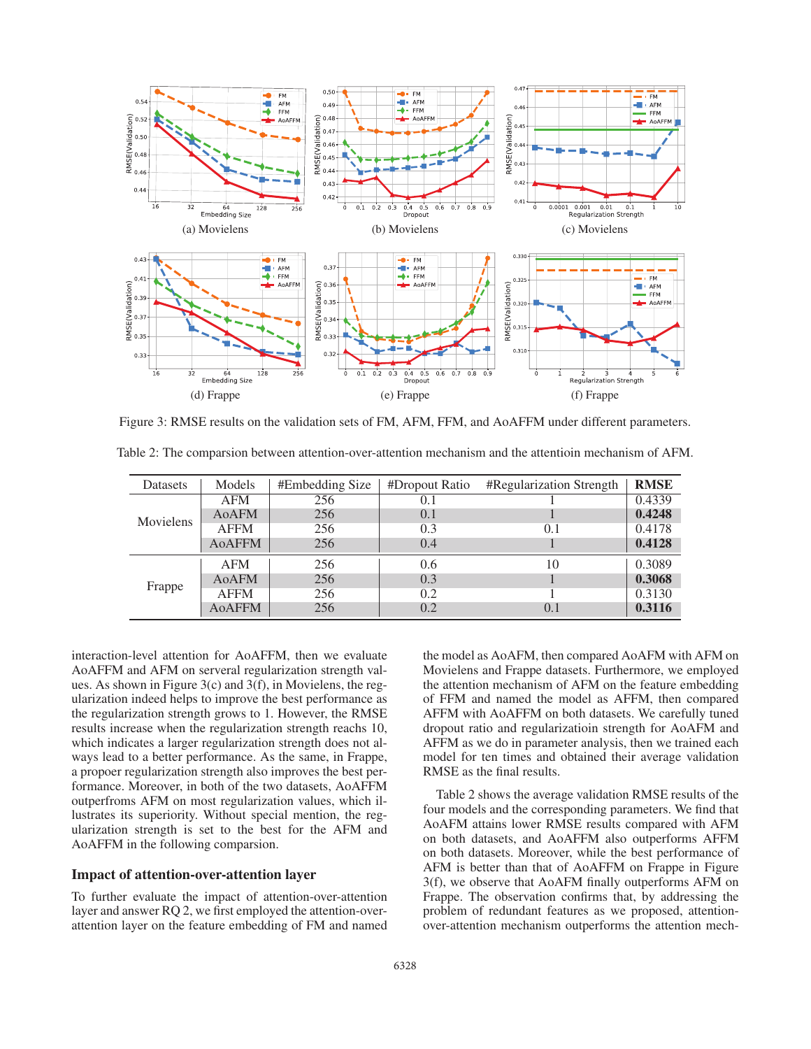

Figure 3: RMSE results on the validation sets of FM, AFM, FFM, and AoAFFM under different parameters.

| Datasets         | Models        | #Embedding Size | #Dropout Ratio | #Regularization Strength | <b>RMSE</b> |
|------------------|---------------|-----------------|----------------|--------------------------|-------------|
| <b>Movielens</b> | <b>AFM</b>    | 256             | 0.1            |                          | 0.4339      |
|                  | AoAFM         | 256             | 0.1            |                          | 0.4248      |
|                  | <b>AFFM</b>   | 256             | 0.3            | (0.1)                    | 0.4178      |
|                  | <b>AOAFFM</b> | 256             | 0.4            |                          | 0.4128      |
| Frappe           | <b>AFM</b>    | 256             | 0.6            | 10                       | 0.3089      |
|                  | AoAFM         | 256             | 0.3            |                          | 0.3068      |
|                  | <b>AFFM</b>   | 256             | 0.2            |                          | 0.3130      |
|                  | <b>AoAFFM</b> | 256             | 0.2            | (0.1)                    | 0.3116      |

Table 2: The comparsion between attention-over-attention mechanism and the attentioin mechanism of AFM.

interaction-level attention for AoAFFM, then we evaluate AoAFFM and AFM on serveral regularization strength values. As shown in Figure 3(c) and 3(f), in Movielens, the regularization indeed helps to improve the best performance as the regularization strength grows to 1. However, the RMSE results increase when the regularization strength reachs 10, which indicates a larger regularization strength does not always lead to a better performance. As the same, in Frappe, a propoer regularization strength also improves the best performance. Moreover, in both of the two datasets, AoAFFM outperfroms AFM on most regularization values, which illustrates its superiority. Without special mention, the regularization strength is set to the best for the AFM and AoAFFM in the following comparsion.

## Impact of attention-over-attention layer

To further evaluate the impact of attention-over-attention layer and answer RQ 2, we first employed the attention-overattention layer on the feature embedding of FM and named

the model as AoAFM, then compared AoAFM with AFM on Movielens and Frappe datasets. Furthermore, we employed the attention mechanism of AFM on the feature embedding of FFM and named the model as AFFM, then compared AFFM with AoAFFM on both datasets. We carefully tuned dropout ratio and regularizatioin strength for AoAFM and AFFM as we do in parameter analysis, then we trained each model for ten times and obtained their average validation RMSE as the final results.

Table 2 shows the average validation RMSE results of the four models and the corresponding parameters. We find that AoAFM attains lower RMSE results compared with AFM on both datasets, and AoAFFM also outperforms AFFM on both datasets. Moreover, while the best performance of AFM is better than that of AoAFFM on Frappe in Figure 3(f), we observe that AoAFM finally outperforms AFM on Frappe. The observation confirms that, by addressing the problem of redundant features as we proposed, attentionover-attention mechanism outperforms the attention mech-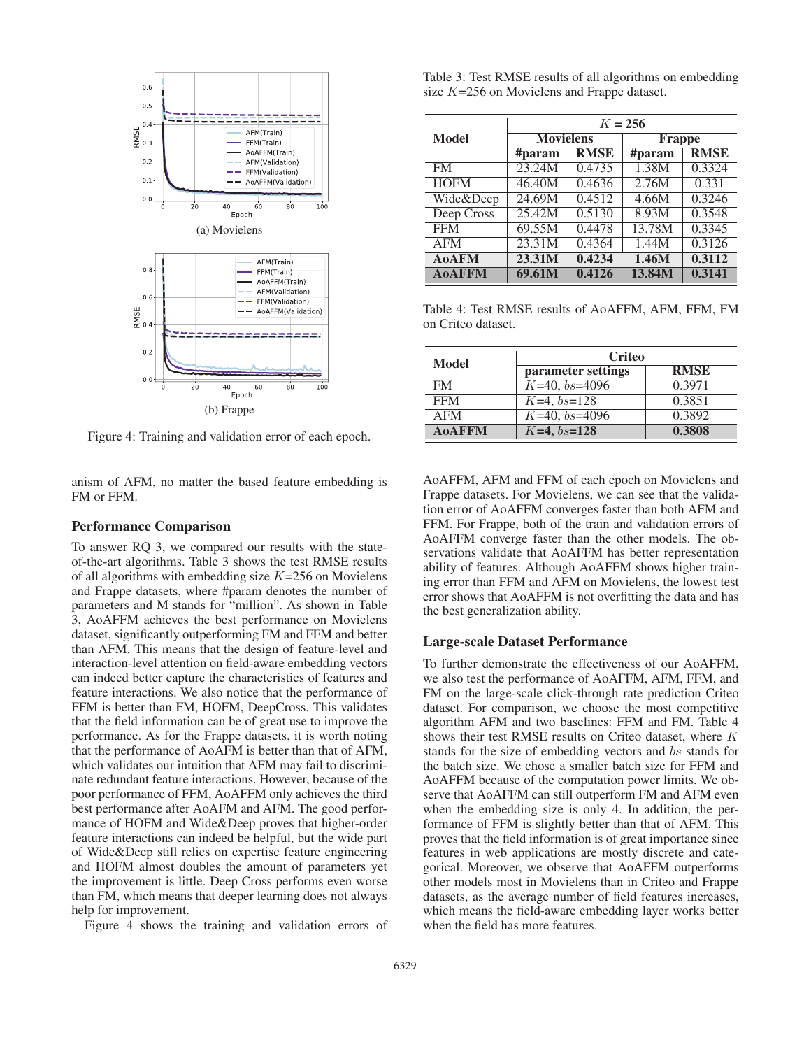

Figure 4: Training and validation error of each epoch.

anism of AFM, no matter the based feature embedding is FM or FFM.

### Performance Comparison

To answer RQ 3, we compared our results with the stateof-the-art algorithms. Table 3 shows the test RMSE results of all algorithms with embedding size  $K=256$  on Movielens and Frappe datasets, where #param denotes the number of parameters and M stands for "million". As shown in Table 3, AoAFFM achieves the best performance on Movielens dataset, significantly outperforming FM and FFM and better than AFM. This means that the design of feature-level and interaction-level attention on field-aware embedding vectors can indeed better capture the characteristics of features and feature interactions. We also notice that the performance of FFM is better than FM, HOFM, DeepCross. This validates that the field information can be of great use to improve the performance. As for the Frappe datasets, it is worth noting that the performance of AoAFM is better than that of AFM, which validates our intuition that AFM may fail to discriminate redundant feature interactions. However, because of the poor performance of FFM, AoAFFM only achieves the third best performance after AoAFM and AFM. The good performance of HOFM and Wide&Deep proves that higher-order feature interactions can indeed be helpful, but the wide part of Wide&Deep still relies on expertise feature engineering and HOFM almost doubles the amount of parameters yet the improvement is little. Deep Cross performs even worse than FM, which means that deeper learning does not always help for improvement.

Figure 4 shows the training and validation errors of

Table 3: Test RMSE results of all algorithms on embedding size K=256 on Movielens and Frappe dataset.

|               | $K = 256$        |             |               |             |
|---------------|------------------|-------------|---------------|-------------|
| Model         | <b>Movielens</b> |             | <b>Frappe</b> |             |
|               | #param           | <b>RMSE</b> | #param        | <b>RMSE</b> |
| <b>FM</b>     | 23.24M           | 0.4735      | 1.38M         | 0.3324      |
| <b>HOFM</b>   | 46.40M           | 0.4636      | 2.76M         | 0.331       |
| Wide&Deep     | 24.69M           | 0.4512      | 4.66M         | 0.3246      |
| Deep Cross    | 25.42M           | 0.5130      | 8.93M         | 0.3548      |
| <b>FFM</b>    | 69.55M           | 0.4478      | 13.78M        | 0.3345      |
| <b>AFM</b>    | 23.31M           | 0.4364      | 1.44M         | 0.3126      |
| <b>AoAFM</b>  | 23.31M           | 0.4234      | 1.46M         | 0.3112      |
| <b>AoAFFM</b> | 69.61M           | 0.4126      | 13.84M        | 0.3141      |

Table 4: Test RMSE results of AoAFFM, AFM, FFM, FM on Criteo dataset.

| Model         | <b>Criteo</b>      |             |  |  |
|---------------|--------------------|-------------|--|--|
|               | parameter settings | <b>RMSE</b> |  |  |
| <b>FM</b>     | $K=40, bs=4096$    | 0.3971      |  |  |
| <b>FFM</b>    | $K=4,bs=128$       | 0.3851      |  |  |
| <b>AFM</b>    | $K=40, bs=4096$    | 0.3892      |  |  |
| <b>AOAFFM</b> | $K=4,bs=128$       | 0.3808      |  |  |

AoAFFM, AFM and FFM of each epoch on Movielens and Frappe datasets. For Movielens, we can see that the validation error of AoAFFM converges faster than both AFM and FFM. For Frappe, both of the train and validation errors of AoAFFM converge faster than the other models. The observations validate that AoAFFM has better representation ability of features. Although AoAFFM shows higher training error than FFM and AFM on Movielens, the lowest test error shows that AoAFFM is not overfitting the data and has the best generalization ability.

### Large-scale Dataset Performance

To further demonstrate the effectiveness of our AoAFFM, we also test the performance of AoAFFM, AFM, FFM, and FM on the large-scale click-through rate prediction Criteo dataset. For comparison, we choose the most competitive algorithm AFM and two baselines: FFM and FM. Table 4 shows their test RMSE results on Criteo dataset, where K stands for the size of embedding vectors and bs stands for the batch size. We chose a smaller batch size for FFM and AoAFFM because of the computation power limits. We observe that AoAFFM can still outperform FM and AFM even when the embedding size is only 4. In addition, the performance of FFM is slightly better than that of AFM. This proves that the field information is of great importance since features in web applications are mostly discrete and categorical. Moreover, we observe that AoAFFM outperforms other models most in Movielens than in Criteo and Frappe datasets, as the average number of field features increases, which means the field-aware embedding layer works better when the field has more features.